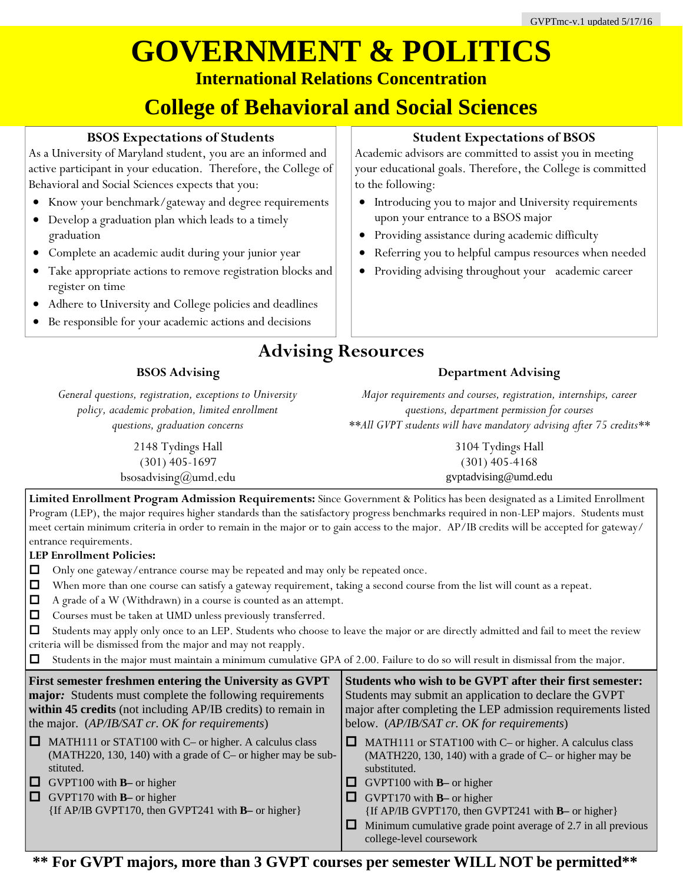## **GOVERNMENT & POLITICS International Relations Concentration**

## **College of Behavioral and Social Sciences**

### **BSOS Expectations of Students**

As a University of Maryland student, you are an informed and active participant in your education. Therefore, the College of Behavioral and Social Sciences expects that you:

- Know your benchmark/gateway and degree requirements
- Develop a graduation plan which leads to a timely graduation
- Complete an academic audit during your junior year
- Take appropriate actions to remove registration blocks and register on time
- Adhere to University and College policies and deadlines
- Be responsible for your academic actions and decisions

### **Student Expectations of BSOS**

Academic advisors are committed to assist you in meeting your educational goals. Therefore, the College is committed to the following:

- Introducing you to major and University requirements upon your entrance to a BSOS major
- Providing assistance during academic difficulty
- Referring you to helpful campus resources when needed
- Providing advising throughout your academic career

### **Advising Resources**

### **BSOS Advising**

*General questions, registration, exceptions to University policy, academic probation, limited enrollment questions, graduation concerns* 

> 2148 Tydings Hall (301) 405-1697 bsosadvising@umd.edu

*Major requirements and courses, registration, internships, career questions, department permission for courses \*\*All GVPT students will have mandatory advising after 75 credits\*\** 

**Department Advising** 

3104 Tydings Hall (301) 405-4168 gvptadvising@umd.edu

**Limited Enrollment Program Admission Requirements:** Since Government & Politics has been designated as a Limited Enrollment Program (LEP), the major requires higher standards than the satisfactory progress benchmarks required in non-LEP majors. Students must meet certain minimum criteria in order to remain in the major or to gain access to the major. AP/IB credits will be accepted for gateway/ entrance requirements.

#### **LEP Enrollment Policies:**

- $\Box$  Only one gateway/entrance course may be repeated and may only be repeated once.
- **D** When more than one course can satisfy a gateway requirement, taking a second course from the list will count as a repeat.
- A grade of a W (Withdrawn) in a course is counted as an attempt.
- Courses must be taken at UMD unless previously transferred.

| Students may apply only once to an LEP. Students who choose to leave the major or are directly admitted and fail to meet the review |
|-------------------------------------------------------------------------------------------------------------------------------------|
| criteria will be dismissed from the major and may not reapply.                                                                      |

Students in the major must maintain a minimum cumulative GPA of 2.00. Failure to do so will result in dismissal from the major.

**First semester freshmen entering the University as GVPT major***:* Students must complete the following requirements **within 45 credits** (not including AP/IB credits) to remain in the major. (*AP/IB/SAT cr. OK for requirements*)

- $\Box$  MATH111 or STAT100 with C– or higher. A calculus class (MATH220, 130, 140) with a grade of C– or higher may be substituted.
- GVPT100 with **B** or higher
- GVPT170 with **B** or higher
	- {If AP/IB GVPT170, then GVPT241 with **B–** or higher}

**Students who wish to be GVPT after their first semester:**  Students may submit an application to declare the GVPT major after completing the LEP admission requirements listed below. (*AP/IB/SAT cr. OK for requirements*)

 $\Box$  MATH111 or STAT100 with C– or higher. A calculus class (MATH220, 130, 140) with a grade of C– or higher may be substituted.

- GVPT100 with **B** or higher
- GVPT170 with **B** or higher
	- {If AP/IB GVPT170, then GVPT241 with **B–** or higher}
- $\Box$  Minimum cumulative grade point average of 2.7 in all previous college-level coursework

**\*\* For GVPT majors, more than 3 GVPT courses per semester WILL NOT be permitted\*\***